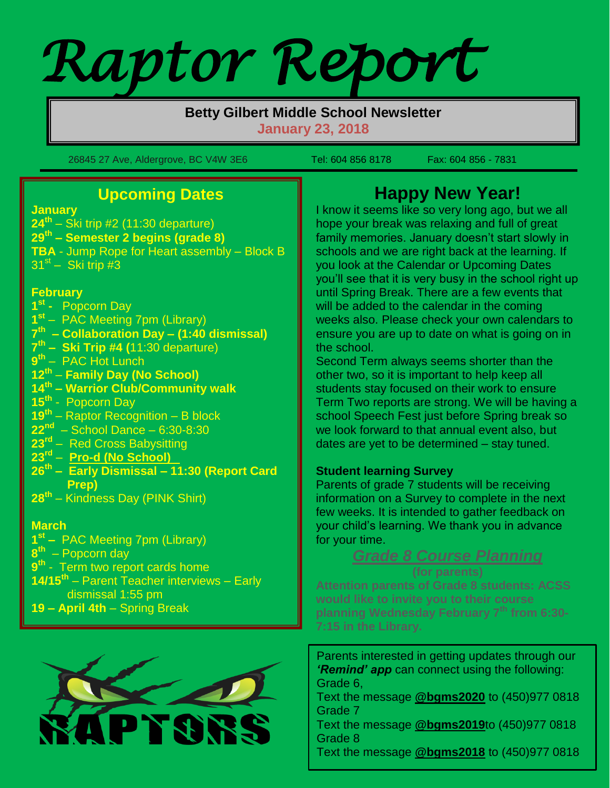# *Raptor Report*

#### **Betty Gilbert Middle School Newsletter January 23, 2018**

26845 27 Ave, Aldergrove, BC V4W 3E6 Tel: 604 856 8178 Fax: 604 856 - 7831

# **Upcoming Dates**

**January**

 $\mathbf{r}$ 

**24 th** – Ski trip #2 (11:30 departure) **29th – Semester 2 begins (grade 8) TBA** - Jump Rope for Heart assembly – Block B  $31<sup>st</sup> -$  Ski trip #3

#### **February**

- **1 st** Popcorn Day
- **1 st** PAC Meeting 7pm (Library)
- **7 th – Collaboration Day – (1:40 dismissal)**
- **7 th – Ski Trip #4 (**11:30 departure)
- **9 th** PAC Hot Lunch
- **12 th Family Day (No School)**
- **14th – Warrior Club/Community walk**
- **15th** Popcorn Day
- **19th** Raptor Recognition B block
- **22nd** School Dance 6:30-8:30
- **23rd** Red Cross Babysitting
- **23 rd Pro-d (No School)**
- **26th – Early Dismissal – 11:30 (Report Card Prep)**
- **28th** Kindness Day (PINK Shirt)

## **March**

- **1 st –** PAC Meeting 7pm (Library)
- **8 th** Popcorn day
- **9 th** Term two report cards home
- **14/15th** Parent Teacher interviews Early dismissal 1:55 pm
- **19 – April 4th** Spring Break



# **Happy New Year!**

I know it seems like so very long ago, but we all hope your break was relaxing and full of great family memories. January doesn't start slowly in schools and we are right back at the learning. If you look at the Calendar or Upcoming Dates you'll see that it is very busy in the school right up until Spring Break. There are a few events that will be added to the calendar in the coming weeks also. Please check your own calendars to ensure you are up to date on what is going on in the school.

Second Term always seems shorter than the other two, so it is important to help keep all students stay focused on their work to ensure Term Two reports are strong. We will be having a school Speech Fest just before Spring break so we look forward to that annual event also, but dates are yet to be determined – stay tuned.

### **Student learning Survey**

Parents of grade 7 students will be receiving information on a Survey to complete in the next few weeks. It is intended to gather feedback on your child's learning. We thank you in advance for your time.

## *Grade 8 Course Planning*

**(for parents) Attention parents of Grade 8 students: ACSS would like to invite you to their course planning Wednesday February 7th from 6:30- 7:15 in the Library.**

Parents interested in getting updates through our *'Remind' app* can connect using the following: Grade 6,

Text the message **@bgms2020** to (450)977 0818 Grade 7

Text the message **@bgms2019**to (450)977 0818 Grade 8

Text the message **@bgms2018** to (450)977 0818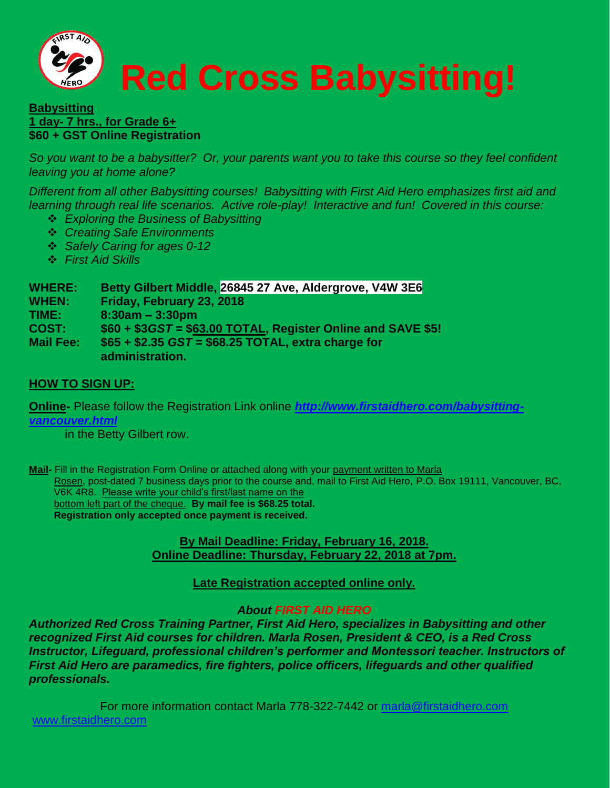

#### **Babysitting 1 day- 7 hrs., for Grade 6+ \$60 + GST Online Registration**

*So you want to be a babysitter? Or, your parents want you to take this course so they feel confident leaving you at home alone?*

*Different from all other Babysitting courses! Babysitting with First Aid Hero emphasizes first aid and learning through real life scenarios. Active role-play! Interactive and fun! Covered in this course:*

- *Exploring the Business of Babysitting*
- *Creating Safe Environments*
- *Safely Caring for ages 0-12*
- *First Aid Skills*

**WHERE: Betty Gilbert Middle, 26845 27 Ave, Aldergrove, V4W 3E6**

**WHEN: Friday, February 23, 2018**

**TIME: 8:30am – 3:30pm**

**COST: \$60 + \$3***GST =* **\$63.00 TOTAL, Register Online and SAVE \$5!**

**Mail Fee: \$65 + \$2.35** *GST* **= \$68.25 TOTAL, extra charge for administration.**

#### **HOW TO SIGN UP:**

**Online-** Please follow the Registration Link online *[http://www.firstaidhero.com/babysitting](http://www.firstaidhero.com/babysitting-vancouver.html)[vancouver.html](http://www.firstaidhero.com/babysitting-vancouver.html)*

in the Betty Gilbert row.

Mail- Fill in the Registration Form Online or attached along with your payment written to Marla Rosen, post-dated 7 business days prior to the course and, mail to First Aid Hero, P.O. Box 19111, Vancouver, BC, V6K 4R8. Please write your child's first/last name on the bottom left part of the cheque. **By mail fee is \$68.25 total. Registration only accepted once payment is received.**

#### **By Mail Deadline: Friday, February 16, 2018. Online Deadline: Thursday, February 22, 2018 at 7pm.**

**Late Registration accepted online only.**

#### *About FIRST AID HERO*

*Authorized Red Cross Training Partner, First Aid Hero, specializes in Babysitting and other recognized First Aid courses for children. Marla Rosen, President & CEO, is a Red Cross Instructor, Lifeguard, professional children's performer and Montessori teacher. Instructors of First Aid Hero are paramedics, fire fighters, police officers, lifeguards and other qualified professionals.*

For more information contact Marla 778-322-7442 or [marla@firstaidhero.com](mailto:marla@firstaidhero.com) [www.firstaidhero.com](http://www.firstaidhero.com/)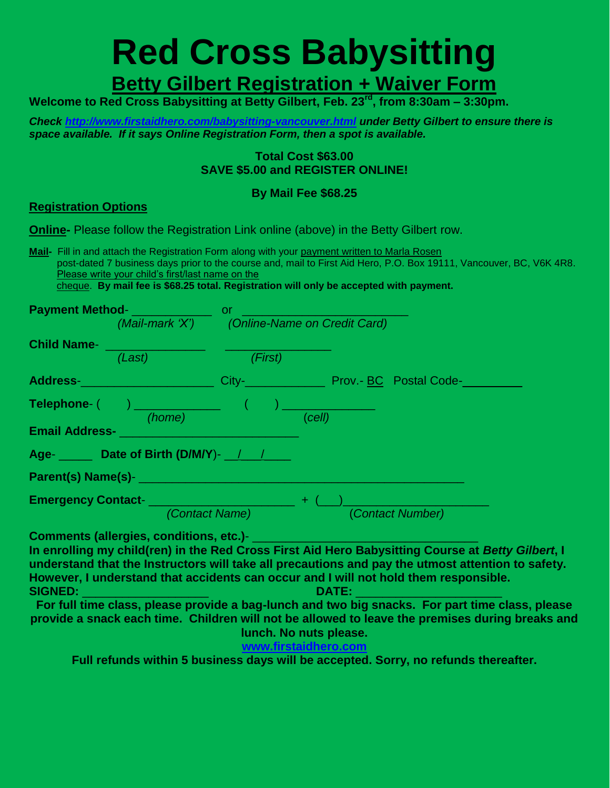# **Red Cross Babysitting Betty Gilbert Registration + Waiver Form**

**Welcome to Red Cross Babysitting at Betty Gilbert, Feb. 23rd, from 8:30am – 3:30pm.** 

*Check<http://www.firstaidhero.com/babysitting-vancouver.html> under Betty Gilbert to ensure there is space available. If it says Online Registration Form, then a spot is available.*

#### **Total Cost \$63.00 SAVE \$5.00 and REGISTER ONLINE!**

#### **By Mail Fee \$68.25**

#### **Registration Options**

**Online-** Please follow the Registration Link online (above) in the Betty Gilbert row.

**Mail-** Fill in and attach the Registration Form along with your payment written to Marla Rosen post-dated 7 business days prior to the course and, mail to First Aid Hero, P.O. Box 19111, Vancouver, BC, V6K 4R8. Please write your child's first/last name on the

cheque. **By mail fee is \$68.25 total. Registration will only be accepted with payment.**

| <b>Payment Method-</b>                          |                                                                                                                                                                                                                                       | or.                                                        |                                                                                                                                                                                                                                      |  |
|-------------------------------------------------|---------------------------------------------------------------------------------------------------------------------------------------------------------------------------------------------------------------------------------------|------------------------------------------------------------|--------------------------------------------------------------------------------------------------------------------------------------------------------------------------------------------------------------------------------------|--|
|                                                 |                                                                                                                                                                                                                                       | (Mail-mark 'X') (Online-Name on Credit Card)               |                                                                                                                                                                                                                                      |  |
| <b>Child Name-</b>                              |                                                                                                                                                                                                                                       |                                                            |                                                                                                                                                                                                                                      |  |
|                                                 | (Last)                                                                                                                                                                                                                                | (First)                                                    |                                                                                                                                                                                                                                      |  |
|                                                 | Address- <b>Market Community Contract Contract Contract Contract Contract Contract Contract Contract Contract Contract Contract Contract Contract Contract Contract Contract Contract Contract Contract Contract Contract Contrac</b> |                                                            | City- <b>City- City- City- City- City- City- City- City- City- City- City- City- City- City- City- City- City- City- City- City- City- City- City- City- City- City- City- City- City- City- City- City- City- City- City- City-</b> |  |
|                                                 |                                                                                                                                                                                                                                       |                                                            |                                                                                                                                                                                                                                      |  |
| <b>Email Address-</b>                           | (home)                                                                                                                                                                                                                                |                                                            | (cell)                                                                                                                                                                                                                               |  |
|                                                 | Age- Letther Date of Birth (D/M/Y)- <sub>1</sub>                                                                                                                                                                                      |                                                            |                                                                                                                                                                                                                                      |  |
|                                                 |                                                                                                                                                                                                                                       |                                                            |                                                                                                                                                                                                                                      |  |
| Emergency Contact-<br><u>Emergency Contact-</u> |                                                                                                                                                                                                                                       |                                                            | $+$ (                                                                                                                                                                                                                                |  |
|                                                 |                                                                                                                                                                                                                                       | <i>(Contact Name)</i> <b>Contact Agency Contact Agency</b> | (Contact Number)                                                                                                                                                                                                                     |  |

**Comments (allergies, conditions, etc.)**- \_\_\_\_\_\_\_\_\_\_\_\_\_\_\_\_\_\_\_\_\_\_\_\_\_\_\_\_\_\_\_\_\_\_

**In enrolling my child(ren) in the Red Cross First Aid Hero Babysitting Course at** *Betty Gilbert***, I understand that the Instructors will take all precautions and pay the utmost attention to safety. However, I understand that accidents can occur and I will not hold them responsible. SIGNED:** \_\_\_\_\_\_\_\_\_\_\_\_\_\_\_\_\_\_\_ **DATE:** \_\_\_\_\_\_\_\_\_\_\_\_\_\_\_\_\_\_\_\_\_\_

**For full time class, please provide a bag-lunch and two big snacks. For part time class, please provide a snack each time. Children will not be allowed to leave the premises during breaks and lunch. No nuts please.**

#### **[www.firstaidhero.com](http://www.firstaidhero.com/)**

**Full refunds within 5 business days will be accepted. Sorry, no refunds thereafter.**